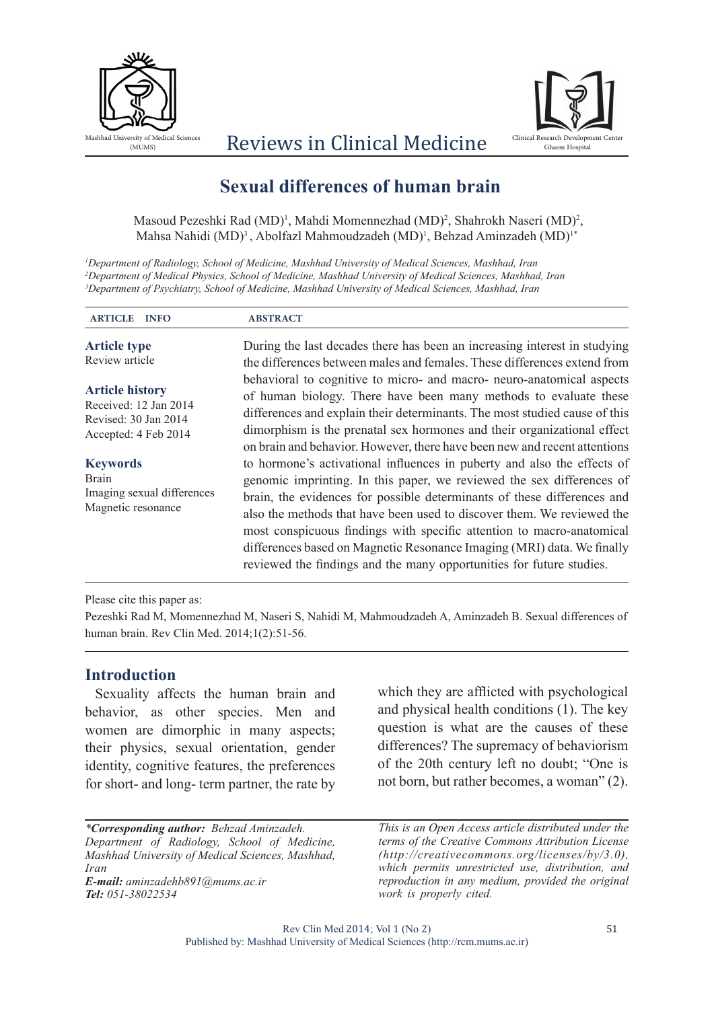



# Reviews in Clinical Medicine

## **Sexual differences of human brain**

Masoud Pezeshki Rad (MD)<sup>1</sup>, Mahdi Momennezhad (MD)<sup>2</sup>, Shahrokh Naseri (MD)<sup>2</sup>, Mahsa Nahidi (MD)<sup>3</sup>, Abolfazl Mahmoudzadeh (MD)<sup>1</sup>, Behzad Aminzadeh (MD)<sup>1\*</sup>

*1 Department of Radiology, School of Medicine, Mashhad University of Medical Sciences, Mashhad, Iran 2 Department of Medical Physics, School of Medicine, Mashhad University of Medical Sciences, Mashhad, Iran 3 Department of Psychiatry, School of Medicine, Mashhad University of Medical Sciences, Mashhad, Iran*

| <b>ARTICLE</b><br><b>INFO</b>                                                                   | <b>ABSTRACT</b>                                                                                                                                                                                                                                                                                                                                                                                                                                                                                                                  |
|-------------------------------------------------------------------------------------------------|----------------------------------------------------------------------------------------------------------------------------------------------------------------------------------------------------------------------------------------------------------------------------------------------------------------------------------------------------------------------------------------------------------------------------------------------------------------------------------------------------------------------------------|
| <b>Article type</b><br>Review article                                                           | During the last decades there has been an increasing interest in studying<br>the differences between males and females. These differences extend from                                                                                                                                                                                                                                                                                                                                                                            |
| <b>Article history</b><br>Received: 12 Jan 2014<br>Revised: 30 Jan 2014<br>Accepted: 4 Feb 2014 | behavioral to cognitive to micro- and macro- neuro-anatomical aspects<br>of human biology. There have been many methods to evaluate these<br>differences and explain their determinants. The most studied cause of this<br>dimorphism is the prenatal sex hormones and their organizational effect<br>on brain and behavior. However, there have been new and recent attentions                                                                                                                                                  |
| <b>Keywords</b><br><b>Brain</b><br>Imaging sexual differences<br>Magnetic resonance             | to hormone's activational influences in puberty and also the effects of<br>genomic imprinting. In this paper, we reviewed the sex differences of<br>brain, the evidences for possible determinants of these differences and<br>also the methods that have been used to discover them. We reviewed the<br>most conspicuous findings with specific attention to macro-anatomical<br>differences based on Magnetic Resonance Imaging (MRI) data. We finally<br>reviewed the findings and the many opportunities for future studies. |

Please cite this paper as:

Pezeshki Rad M, Momennezhad M, Naseri S, Nahidi M, Mahmoudzadeh A, Aminzadeh B. Sexual differences of human brain. Rev Clin Med. 2014;1(2):51-56.

#### **Introduction**

Sexuality affects the human brain and behavior, as other species. Men and women are dimorphic in many aspects; their physics, sexual orientation, gender identity, cognitive features, the preferences for short- and long- term partner, the rate by

*\*Corresponding author: Behzad Aminzadeh. Department of Radiology, School of Medicine, Mashhad University of Medical Sciences, Mashhad, Iran E-mail: aminzadehb891@mums.ac.ir*

*Tel: 051-38022534*

which they are afflicted with psychological and physical health conditions (1). The key question is what are the causes of these differences? The supremacy of behaviorism of the 20th century left no doubt; "One is not born, but rather becomes, a woman" (2).

*This is an Open Access article distributed under the terms of the Creative Commons Attribution License (http://creativecommons.org/licenses/by/3.0), which permits unrestricted use, distribution, and reproduction in any medium, provided the original work is properly cited.*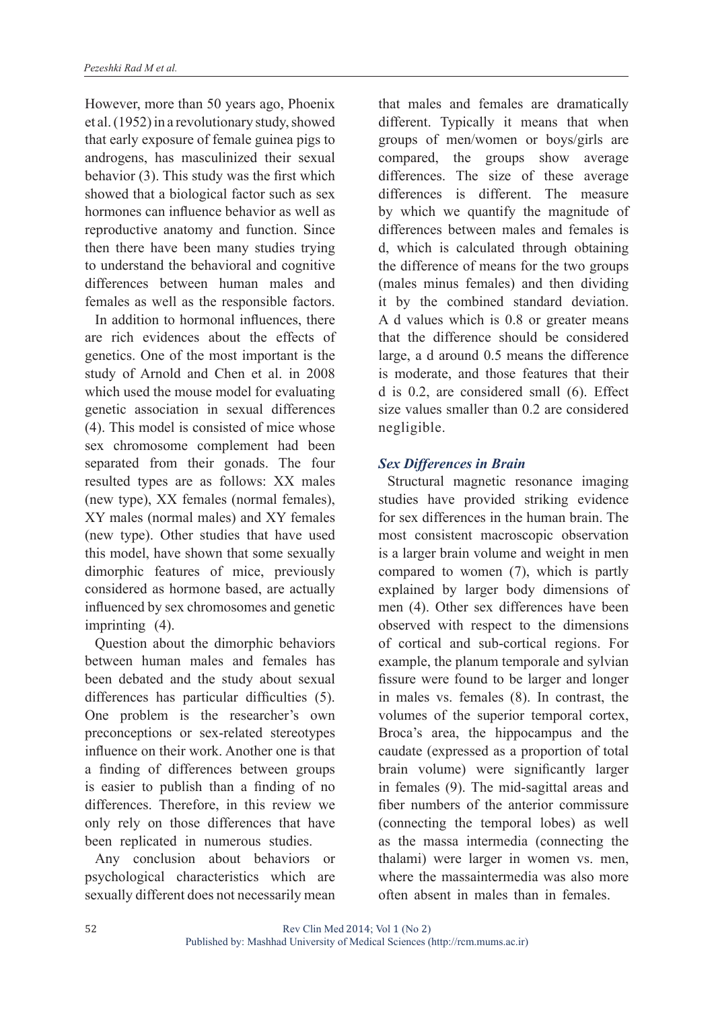However, more than 50 years ago, Phoenix et al. (1952) in a revolutionary study, showed that early exposure of female guinea pigs to androgens, has masculinized their sexual behavior (3). This study was the first which showed that a biological factor such as sex hormones can influence behavior as well as reproductive anatomy and function. Since then there have been many studies trying to understand the behavioral and cognitive differences between human males and females as well as the responsible factors.

In addition to hormonal influences, there are rich evidences about the effects of genetics. One of the most important is the study of Arnold and Chen et al. in 2008 which used the mouse model for evaluating genetic association in sexual differences (4). This model is consisted of mice whose sex chromosome complement had been separated from their gonads. The four resulted types are as follows: XX males (new type), XX females (normal females), XY males (normal males) and XY females (new type). Other studies that have used this model, have shown that some sexually dimorphic features of mice, previously considered as hormone based, are actually influenced by sex chromosomes and genetic imprinting (4).

Question about the dimorphic behaviors between human males and females has been debated and the study about sexual differences has particular difficulties (5). One problem is the researcher's own preconceptions or sex-related stereotypes influence on their work. Another one is that a finding of differences between groups is easier to publish than a finding of no differences. Therefore, in this review we only rely on those differences that have been replicated in numerous studies.

Any conclusion about behaviors or psychological characteristics which are sexually different does not necessarily mean

that males and females are dramatically different. Typically it means that when groups of men/women or boys/girls are compared, the groups show average differences. The size of these average differences is different. The measure by which we quantify the magnitude of differences between males and females is d, which is calculated through obtaining the difference of means for the two groups (males minus females) and then dividing it by the combined standard deviation. A d values which is 0.8 or greater means that the difference should be considered large, a d around 0.5 means the difference is moderate, and those features that their d is 0.2, are considered small (6). Effect size values smaller than 0.2 are considered negligible.

## *Sex Differences in Brain*

Structural magnetic resonance imaging studies have provided striking evidence for sex differences in the human brain. The most consistent macroscopic observation is a larger brain volume and weight in men compared to women (7), which is partly explained by larger body dimensions of men (4). Other sex differences have been observed with respect to the dimensions of cortical and sub-cortical regions. For example, the planum temporale and sylvian fissure were found to be larger and longer in males vs. females (8). In contrast, the volumes of the superior temporal cortex, Broca's area, the hippocampus and the caudate (expressed as a proportion of total brain volume) were significantly larger in females (9). The mid-sagittal areas and fiber numbers of the anterior commissure (connecting the temporal lobes) as well as the massa intermedia (connecting the thalami) were larger in women vs. men, where the massaintermedia was also more often absent in males than in females.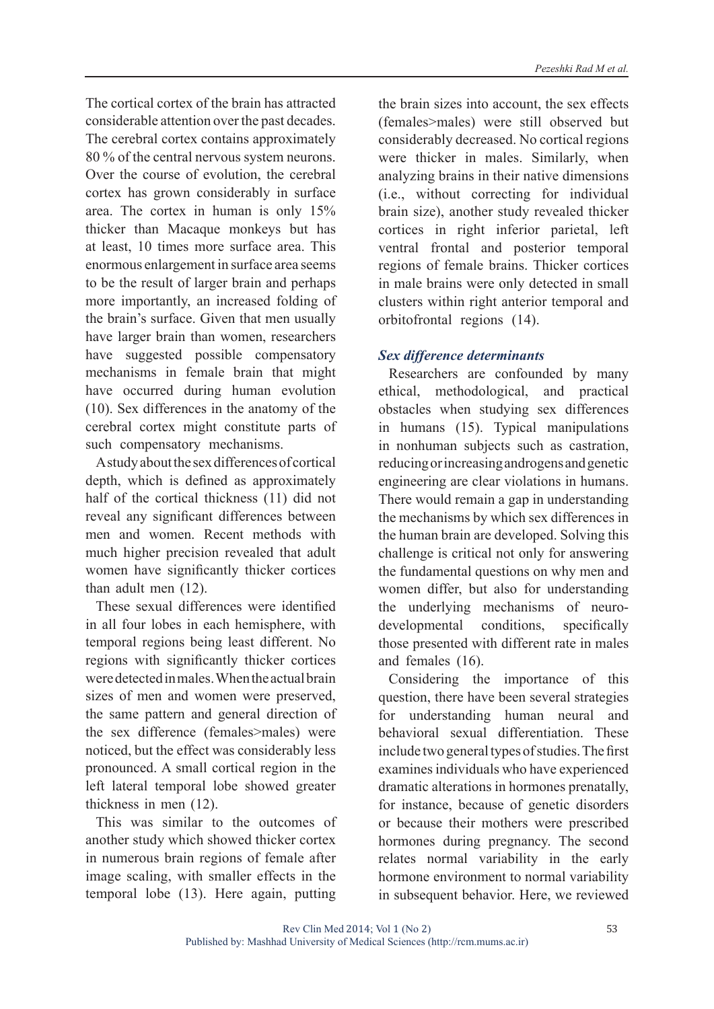The cortical cortex of the brain has attracted considerable attention over the past decades. The cerebral cortex contains approximately 80 % of the central nervous system neurons. Over the course of evolution, the cerebral cortex has grown considerably in surface area. The cortex in human is only 15% thicker than Macaque monkeys but has at least, 10 times more surface area. This enormous enlargement in surface area seems to be the result of larger brain and perhaps more importantly, an increased folding of the brain's surface. Given that men usually have larger brain than women, researchers have suggested possible compensatory mechanisms in female brain that might have occurred during human evolution (10). Sex differences in the anatomy of the cerebral cortex might constitute parts of such compensatory mechanisms.

A study about the sex differences of cortical depth, which is defined as approximately half of the cortical thickness (11) did not reveal any significant differences between men and women. Recent methods with much higher precision revealed that adult women have significantly thicker cortices than adult men (12).

These sexual differences were identified in all four lobes in each hemisphere, with temporal regions being least different. No regions with significantly thicker cortices were detected in males. When the actual brain sizes of men and women were preserved, the same pattern and general direction of the sex difference (females>males) were noticed, but the effect was considerably less pronounced. A small cortical region in the left lateral temporal lobe showed greater thickness in men (12).

This was similar to the outcomes of another study which showed thicker cortex in numerous brain regions of female after image scaling, with smaller effects in the temporal lobe (13). Here again, putting

the brain sizes into account, the sex effects (females>males) were still observed but considerably decreased. No cortical regions were thicker in males. Similarly, when analyzing brains in their native dimensions (i.e., without correcting for individual brain size), another study revealed thicker cortices in right inferior parietal, left ventral frontal and posterior temporal regions of female brains. Thicker cortices in male brains were only detected in small clusters within right anterior temporal and orbitofrontal regions (14).

#### *Sex difference determinants*

Researchers are confounded by many ethical, methodological, and practical obstacles when studying sex differences in humans (15). Typical manipulations in nonhuman subjects such as castration, reducing or increasing androgens and genetic engineering are clear violations in humans. There would remain a gap in understanding the mechanisms by which sex differences in the human brain are developed. Solving this challenge is critical not only for answering the fundamental questions on why men and women differ, but also for understanding the underlying mechanisms of neurodevelopmental conditions, specifically those presented with different rate in males and females (16).

Considering the importance of this question, there have been several strategies for understanding human neural and behavioral sexual differentiation. These include two general types of studies. The first examines individuals who have experienced dramatic alterations in hormones prenatally, for instance, because of genetic disorders or because their mothers were prescribed hormones during pregnancy. The second relates normal variability in the early hormone environment to normal variability in subsequent behavior. Here, we reviewed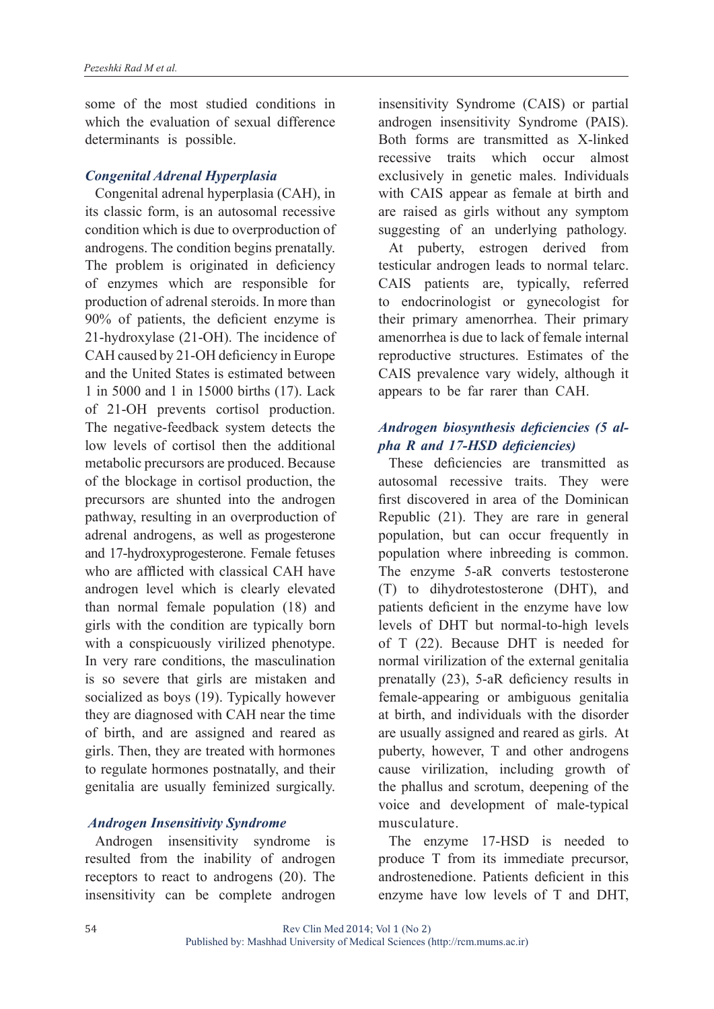some of the most studied conditions in which the evaluation of sexual difference determinants is possible.

#### *Congenital Adrenal Hyperplasia*

Congenital adrenal hyperplasia (CAH), in its classic form, is an autosomal recessive condition which is due to overproduction of androgens. The condition begins prenatally. The problem is originated in deficiency of enzymes which are responsible for production of adrenal steroids. In more than 90% of patients, the deficient enzyme is 21-hydroxylase (21-OH). The incidence of CAH caused by 21-OH deficiency in Europe and the United States is estimated between 1 in 5000 and 1 in 15000 births (17). Lack of 21-OH prevents cortisol production. The negative-feedback system detects the low levels of cortisol then the additional metabolic precursors are produced. Because of the blockage in cortisol production, the precursors are shunted into the androgen pathway, resulting in an overproduction of adrenal androgens, as well as progesterone and 17-hydroxyprogesterone. Female fetuses who are afflicted with classical CAH have androgen level which is clearly elevated than normal female population (18) and girls with the condition are typically born with a conspicuously virilized phenotype. In very rare conditions, the masculination is so severe that girls are mistaken and socialized as boys (19). Typically however they are diagnosed with CAH near the time of birth, and are assigned and reared as girls. Then, they are treated with hormones to regulate hormones postnatally, and their genitalia are usually feminized surgically.

#### *Androgen Insensitivity Syndrome*

Androgen insensitivity syndrome is resulted from the inability of androgen receptors to react to androgens (20). The insensitivity can be complete androgen insensitivity Syndrome (CAIS) or partial androgen insensitivity Syndrome (PAIS). Both forms are transmitted as X-linked recessive traits which occur almost exclusively in genetic males. Individuals with CAIS appear as female at birth and are raised as girls without any symptom suggesting of an underlying pathology.

At puberty, estrogen derived from testicular androgen leads to normal telarc. CAIS patients are, typically, referred to endocrinologist or gynecologist for their primary amenorrhea. Their primary amenorrhea is due to lack of female internal reproductive structures. Estimates of the CAIS prevalence vary widely, although it appears to be far rarer than CAH.

## *Androgen biosynthesis deficiencies (5 alpha R and 17-HSD deficiencies)*

These deficiencies are transmitted as autosomal recessive traits. They were first discovered in area of the Dominican Republic (21). They are rare in general population, but can occur frequently in population where inbreeding is common. The enzyme 5-aR converts testosterone (T) to dihydrotestosterone (DHT), and patients deficient in the enzyme have low levels of DHT but normal-to-high levels of T (22). Because DHT is needed for normal virilization of the external genitalia prenatally (23), 5-aR deficiency results in female-appearing or ambiguous genitalia at birth, and individuals with the disorder are usually assigned and reared as girls. At puberty, however, T and other androgens cause virilization, including growth of the phallus and scrotum, deepening of the voice and development of male-typical musculature.

The enzyme 17-HSD is needed to produce T from its immediate precursor, androstenedione. Patients deficient in this enzyme have low levels of T and DHT,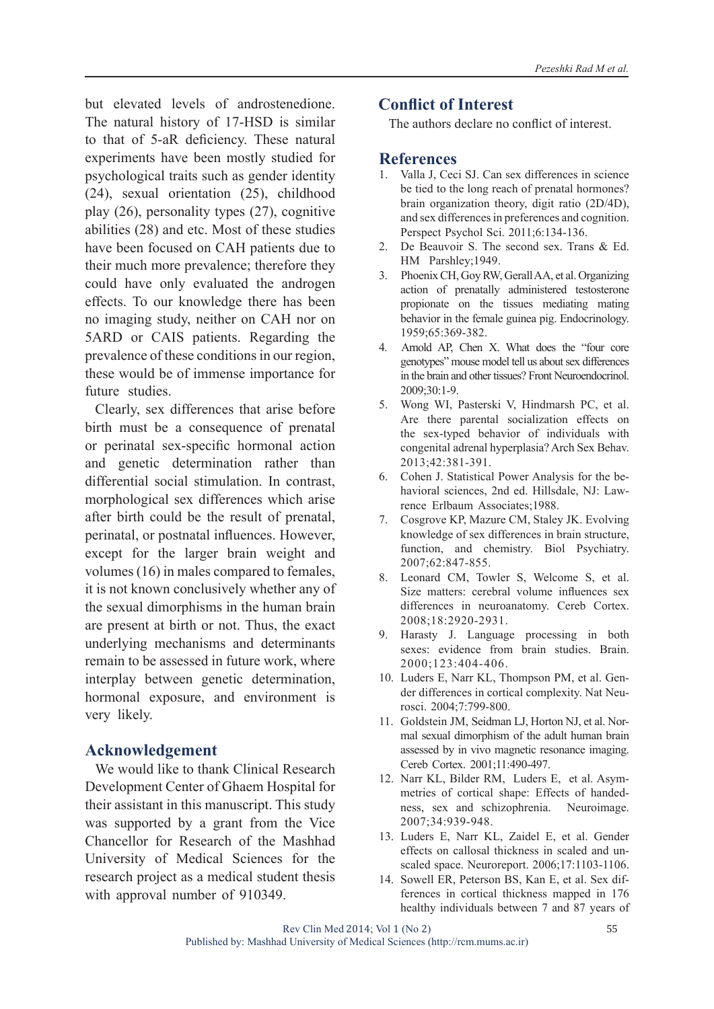but elevated levels of androstenedione. The natural history of 17-HSD is similar to that of 5-aR deficiency. These natural experiments have been mostly studied for psychological traits such as gender identity (24), sexual orientation (25), childhood play (26), personality types (27), cognitive abilities (28) and etc. Most of these studies have been focused on CAH patients due to their much more prevalence; therefore they could have only evaluated the androgen effects. To our knowledge there has been no imaging study, neither on CAH nor on 5ARD or CAIS patients. Regarding the prevalence of these conditions in our region, these would be of immense importance for future studies.

Clearly, sex differences that arise before birth must be a consequence of prenatal or perinatal sex-specific hormonal action and genetic determination rather than differential social stimulation. In contrast, morphological sex differences which arise after birth could be the result of prenatal, perinatal, or postnatal influences. However, except for the larger brain weight and volumes (16) in males compared to females, it is not known conclusively whether any of the sexual dimorphisms in the human brain are present at birth or not. Thus, the exact underlying mechanisms and determinants remain to be assessed in future work, where interplay between genetic determination, hormonal exposure, and environment is very likely.

## **Acknowledgement**

We would like to thank Clinical Research Development Center of Ghaem Hospital for their assistant in this manuscript. This study was supported by a grant from the Vice Chancellor for Research of the Mashhad University of Medical Sciences for the research project as a medical student thesis with approval number of 910349.

## **Conflict of Interest**

The authors declare no conflict of interest.

#### **References**

- 1. Valla J, Ceci SJ. Can sex differences in science be tied to the long reach of prenatal hormones? brain organization theory, digit ratio (2D/4D), and sex differences in preferences and cognition. Perspect Psychol Sci. 2011;6:134-136.
- 2. De Beauvoir S. The second sex. Trans & Ed. HM Parshley;1949.
- 3. Phoenix CH, Goy RW, Gerall AA, et al. Organizing action of prenatally administered testosterone propionate on the tissues mediating mating behavior in the female guinea pig. Endocrinology. 1959;65:369-382.
- 4. Arnold AP, Chen X. What does the "four core genotypes" mouse model tell us about sex differences in the brain and other tissues? Front Neuroendocrinol. 2009;30:1-9.
- 5. Wong WI, Pasterski V, Hindmarsh PC, et al. Are there parental socialization effects on the sex-typed behavior of individuals with congenital adrenal hyperplasia? Arch Sex Behav. 2013;42:381-391.
- 6. Cohen J. Statistical Power Analysis for the behavioral sciences, 2nd ed. Hillsdale, NJ: Lawrence Erlbaum Associates;1988.
- 7. Cosgrove KP, Mazure CM, Staley JK. Evolving knowledge of sex differences in brain structure, function, and chemistry. Biol Psychiatry. 2007;62:847-855.
- 8. Leonard CM, Towler S, Welcome S, et al. Size matters: cerebral volume influences sex differences in neuroanatomy. Cereb Cortex. 2008;18:2920-2931.
- 9. Harasty J. Language processing in both sexes: evidence from brain studies. Brain. 2000;123:404-406.
- 10. Luders E, Narr KL, Thompson PM, et al. Gender differences in cortical complexity. Nat Neurosci. 2004;7:799-800.
- 11. Goldstein JM, Seidman LJ, Horton NJ, et al. Normal sexual dimorphism of the adult human brain assessed by in vivo magnetic resonance imaging. Cereb Cortex. 2001;11:490-497.
- 12. Narr KL, Bilder RM, Luders E, et al. Asymmetries of cortical shape: Effects of handedness, sex and schizophrenia. Neuroimage. 2007;34:939-948.
- 13. Luders E, Narr KL, Zaidel E, et al. Gender effects on callosal thickness in scaled and unscaled space. Neuroreport. 2006;17:1103-1106.
- 14. Sowell ER, Peterson BS, Kan E, et al. Sex differences in cortical thickness mapped in 176 healthy individuals between 7 and 87 years of